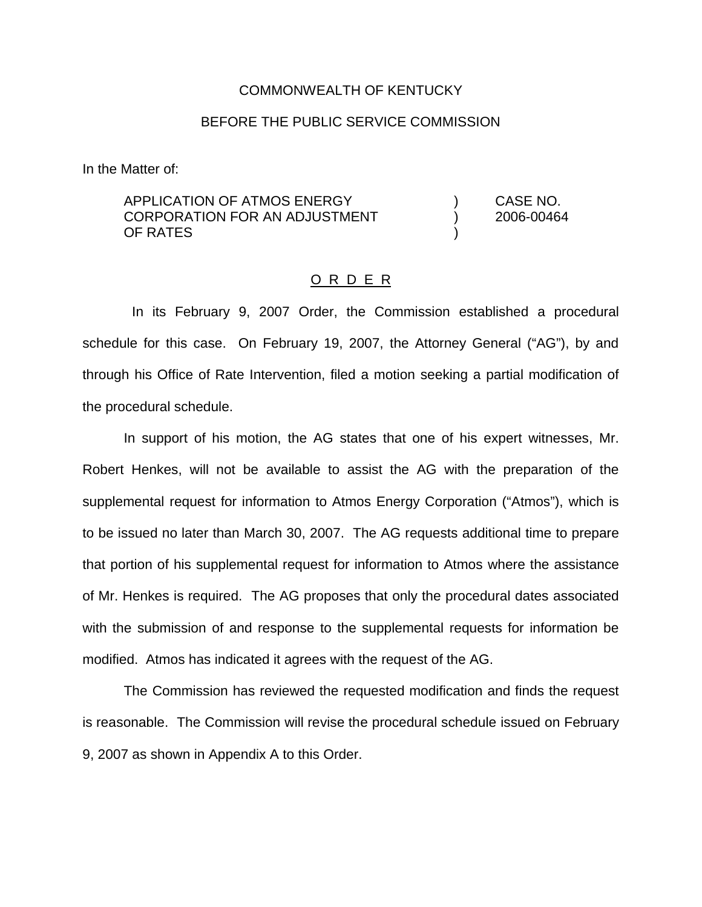### COMMONWEALTH OF KENTUCKY

### BEFORE THE PUBLIC SERVICE COMMISSION

In the Matter of:

APPLICATION OF ATMOS ENERGY ) CASE NO. CORPORATION FOR AN ADJUSTMENT ) 2006-00464 OF RATES )

#### O R D E R

In its February 9, 2007 Order, the Commission established a procedural schedule for this case. On February 19, 2007, the Attorney General ("AG"), by and through his Office of Rate Intervention, filed a motion seeking a partial modification of the procedural schedule.

In support of his motion, the AG states that one of his expert witnesses, Mr. Robert Henkes, will not be available to assist the AG with the preparation of the supplemental request for information to Atmos Energy Corporation ("Atmos"), which is to be issued no later than March 30, 2007. The AG requests additional time to prepare that portion of his supplemental request for information to Atmos where the assistance of Mr. Henkes is required. The AG proposes that only the procedural dates associated with the submission of and response to the supplemental requests for information be modified. Atmos has indicated it agrees with the request of the AG.

The Commission has reviewed the requested modification and finds the request is reasonable. The Commission will revise the procedural schedule issued on February 9, 2007 as shown in Appendix A to this Order.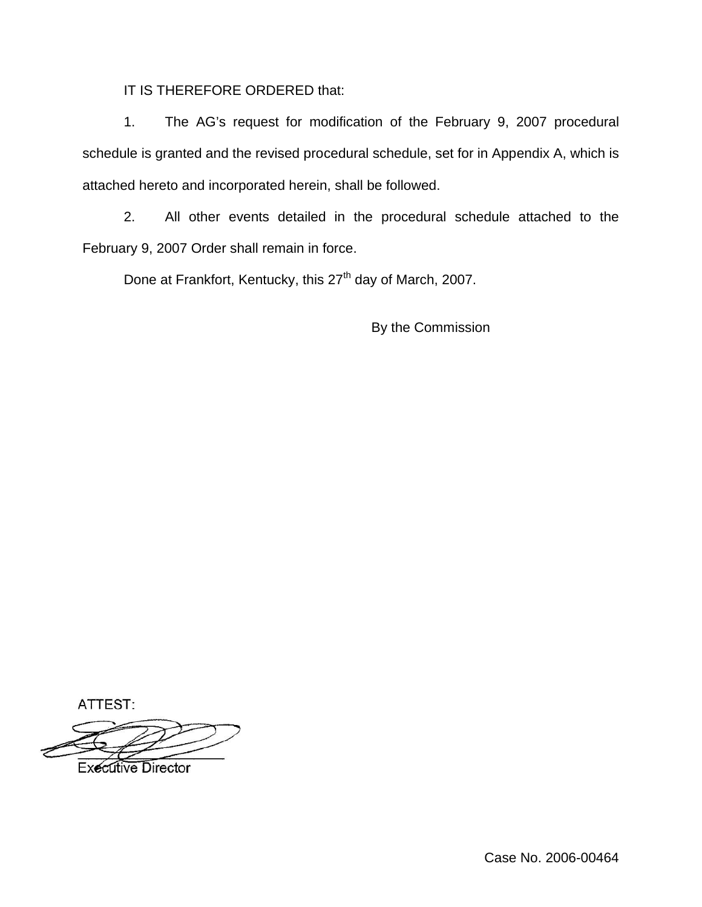IT IS THEREFORE ORDERED that:

1. The AG's request for modification of the February 9, 2007 procedural schedule is granted and the revised procedural schedule, set for in Appendix A, which is attached hereto and incorporated herein, shall be followed.

2. All other events detailed in the procedural schedule attached to the February 9, 2007 Order shall remain in force.

Done at Frankfort, Kentucky, this 27<sup>th</sup> day of March, 2007.

By the Commission

ATTEST:

**Executive Director**